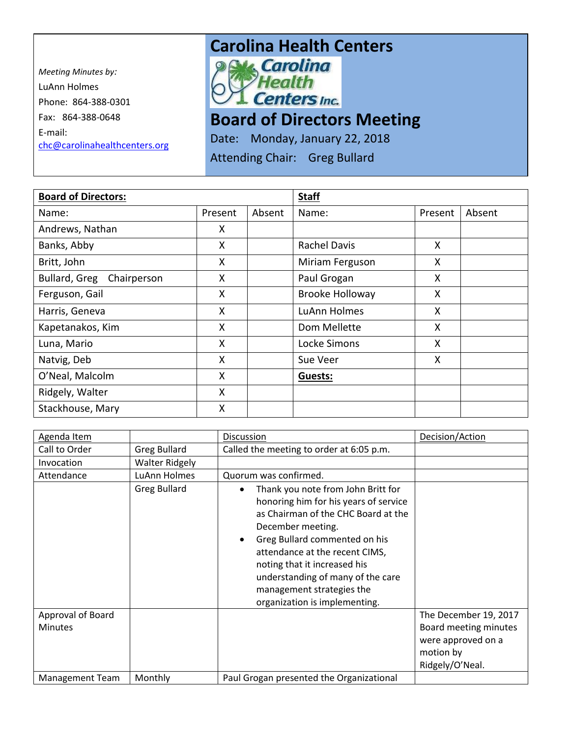*Meeting Minutes by:* LuAnn Holmes Phone: 864-388-0301 Fax: 864-388-0648 E-mail: [chc@carolinahealthcenters.org](mailto:chc@carolinahealthcenters.org)

## **Carolina Health Centers**<br> **Poly Carolina**



## **Board of Directors Meeting**

Date: Monday, January 22, 2018

Attending Chair: Greg Bullard

| <b>Board of Directors:</b>   |         |        | <b>Staff</b>        |         |        |
|------------------------------|---------|--------|---------------------|---------|--------|
| Name:                        | Present | Absent | Name:               | Present | Absent |
| Andrews, Nathan              | X       |        |                     |         |        |
| Banks, Abby                  | X       |        | <b>Rachel Davis</b> | X       |        |
| Britt, John                  | X       |        | Miriam Ferguson     | X       |        |
| Bullard, Greg<br>Chairperson | X       |        | Paul Grogan         | X       |        |
| Ferguson, Gail               | X       |        | Brooke Holloway     | X       |        |
| Harris, Geneva               | X       |        | LuAnn Holmes        | X       |        |
| Kapetanakos, Kim             | X       |        | Dom Mellette        | X.      |        |
| Luna, Mario                  | Χ       |        | Locke Simons        | X       |        |
| Natvig, Deb                  | X       |        | Sue Veer            | X       |        |
| O'Neal, Malcolm              | X       |        | Guests:             |         |        |
| Ridgely, Walter              | Χ       |        |                     |         |        |
| Stackhouse, Mary             | Χ       |        |                     |         |        |

| Agenda Item            |                       | <b>Discussion</b>                                                                                                                                                                                                                                                                                                                                                       | Decision/Action       |
|------------------------|-----------------------|-------------------------------------------------------------------------------------------------------------------------------------------------------------------------------------------------------------------------------------------------------------------------------------------------------------------------------------------------------------------------|-----------------------|
| Call to Order          | <b>Greg Bullard</b>   | Called the meeting to order at 6:05 p.m.                                                                                                                                                                                                                                                                                                                                |                       |
| Invocation             | <b>Walter Ridgely</b> |                                                                                                                                                                                                                                                                                                                                                                         |                       |
| Attendance             | LuAnn Holmes          | Quorum was confirmed.                                                                                                                                                                                                                                                                                                                                                   |                       |
|                        | <b>Greg Bullard</b>   | Thank you note from John Britt for<br>$\bullet$<br>honoring him for his years of service<br>as Chairman of the CHC Board at the<br>December meeting.<br>Greg Bullard commented on his<br>$\bullet$<br>attendance at the recent CIMS,<br>noting that it increased his<br>understanding of many of the care<br>management strategies the<br>organization is implementing. |                       |
| Approval of Board      |                       |                                                                                                                                                                                                                                                                                                                                                                         | The December 19, 2017 |
| <b>Minutes</b>         |                       |                                                                                                                                                                                                                                                                                                                                                                         | Board meeting minutes |
|                        |                       |                                                                                                                                                                                                                                                                                                                                                                         | were approved on a    |
|                        |                       |                                                                                                                                                                                                                                                                                                                                                                         | motion by             |
|                        |                       |                                                                                                                                                                                                                                                                                                                                                                         | Ridgely/O'Neal.       |
| <b>Management Team</b> | Monthly               | Paul Grogan presented the Organizational                                                                                                                                                                                                                                                                                                                                |                       |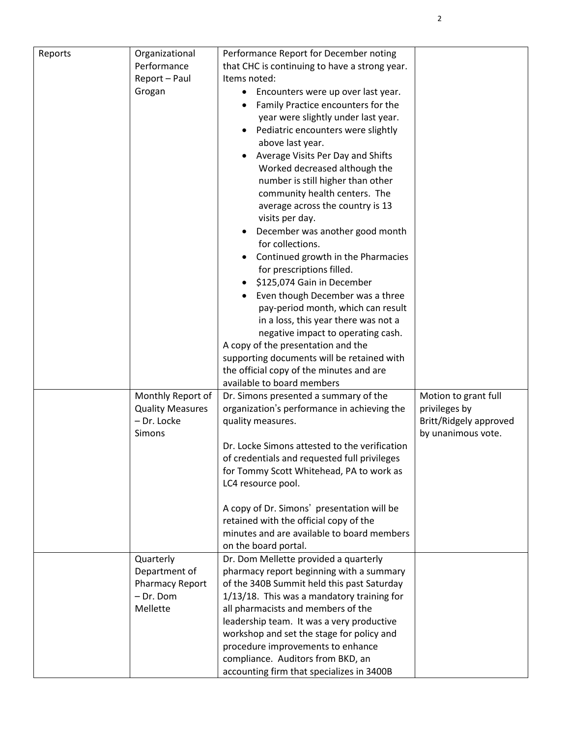| Reports | Organizational          | Performance Report for December noting          |                        |
|---------|-------------------------|-------------------------------------------------|------------------------|
|         | Performance             | that CHC is continuing to have a strong year.   |                        |
|         | Report - Paul           | Items noted:                                    |                        |
|         | Grogan                  | Encounters were up over last year.<br>$\bullet$ |                        |
|         |                         | Family Practice encounters for the              |                        |
|         |                         | year were slightly under last year.             |                        |
|         |                         | Pediatric encounters were slightly              |                        |
|         |                         | above last year.                                |                        |
|         |                         | Average Visits Per Day and Shifts               |                        |
|         |                         | Worked decreased although the                   |                        |
|         |                         |                                                 |                        |
|         |                         | number is still higher than other               |                        |
|         |                         | community health centers. The                   |                        |
|         |                         | average across the country is 13                |                        |
|         |                         | visits per day.                                 |                        |
|         |                         | December was another good month                 |                        |
|         |                         | for collections.                                |                        |
|         |                         | Continued growth in the Pharmacies              |                        |
|         |                         | for prescriptions filled.                       |                        |
|         |                         | \$125,074 Gain in December                      |                        |
|         |                         | Even though December was a three                |                        |
|         |                         | pay-period month, which can result              |                        |
|         |                         | in a loss, this year there was not a            |                        |
|         |                         | negative impact to operating cash.              |                        |
|         |                         | A copy of the presentation and the              |                        |
|         |                         | supporting documents will be retained with      |                        |
|         |                         | the official copy of the minutes and are        |                        |
|         |                         | available to board members                      |                        |
|         | Monthly Report of       | Dr. Simons presented a summary of the           | Motion to grant full   |
|         | <b>Quality Measures</b> | organization's performance in achieving the     | privileges by          |
|         | - Dr. Locke             | quality measures.                               | Britt/Ridgely approved |
|         | Simons                  |                                                 | by unanimous vote.     |
|         |                         | Dr. Locke Simons attested to the verification   |                        |
|         |                         |                                                 |                        |
|         |                         | of credentials and requested full privileges    |                        |
|         |                         | for Tommy Scott Whitehead, PA to work as        |                        |
|         |                         | LC4 resource pool.                              |                        |
|         |                         |                                                 |                        |
|         |                         | A copy of Dr. Simons' presentation will be      |                        |
|         |                         | retained with the official copy of the          |                        |
|         |                         | minutes and are available to board members      |                        |
|         |                         | on the board portal.                            |                        |
|         | Quarterly               | Dr. Dom Mellette provided a quarterly           |                        |
|         | Department of           | pharmacy report beginning with a summary        |                        |
|         | <b>Pharmacy Report</b>  | of the 340B Summit held this past Saturday      |                        |
|         | - Dr. Dom               | 1/13/18. This was a mandatory training for      |                        |
|         | Mellette                | all pharmacists and members of the              |                        |
|         |                         | leadership team. It was a very productive       |                        |
|         |                         | workshop and set the stage for policy and       |                        |
|         |                         | procedure improvements to enhance               |                        |
|         |                         | compliance. Auditors from BKD, an               |                        |
|         |                         | accounting firm that specializes in 3400B       |                        |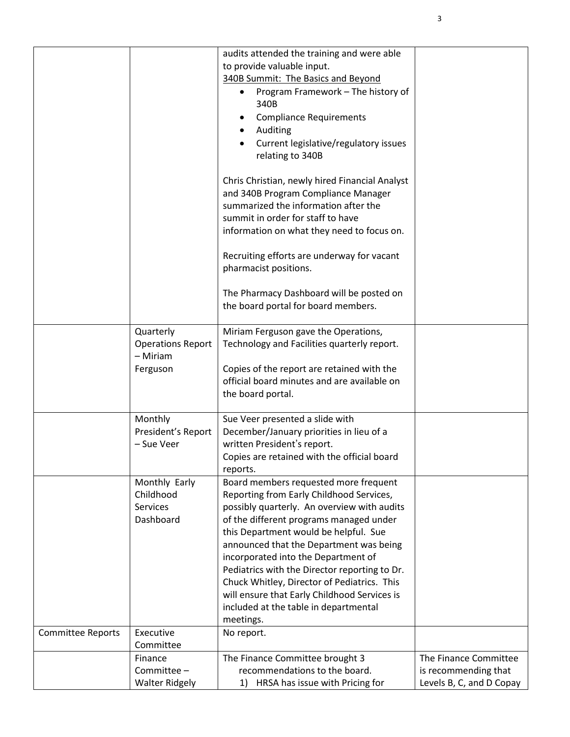|                          |                                                               | audits attended the training and were able<br>to provide valuable input.<br>340B Summit: The Basics and Beyond<br>Program Framework - The history of<br>340B<br><b>Compliance Requirements</b><br>Auditing<br>Current legislative/regulatory issues<br>relating to 340B<br>Chris Christian, newly hired Financial Analyst<br>and 340B Program Compliance Manager<br>summarized the information after the<br>summit in order for staff to have<br>information on what they need to focus on.<br>Recruiting efforts are underway for vacant<br>pharmacist positions.<br>The Pharmacy Dashboard will be posted on<br>the board portal for board members. |                          |
|--------------------------|---------------------------------------------------------------|-------------------------------------------------------------------------------------------------------------------------------------------------------------------------------------------------------------------------------------------------------------------------------------------------------------------------------------------------------------------------------------------------------------------------------------------------------------------------------------------------------------------------------------------------------------------------------------------------------------------------------------------------------|--------------------------|
|                          |                                                               |                                                                                                                                                                                                                                                                                                                                                                                                                                                                                                                                                                                                                                                       |                          |
|                          | Quarterly<br><b>Operations Report</b><br>- Miriam<br>Ferguson | Miriam Ferguson gave the Operations,<br>Technology and Facilities quarterly report.<br>Copies of the report are retained with the<br>official board minutes and are available on<br>the board portal.                                                                                                                                                                                                                                                                                                                                                                                                                                                 |                          |
|                          | Monthly                                                       |                                                                                                                                                                                                                                                                                                                                                                                                                                                                                                                                                                                                                                                       |                          |
|                          | President's Report<br>- Sue Veer                              | Sue Veer presented a slide with<br>December/January priorities in lieu of a<br>written President's report.<br>Copies are retained with the official board<br>reports.                                                                                                                                                                                                                                                                                                                                                                                                                                                                                 |                          |
|                          | Monthly Early<br>Childhood<br>Services<br>Dashboard           | Board members requested more frequent<br>Reporting from Early Childhood Services,<br>possibly quarterly. An overview with audits<br>of the different programs managed under<br>this Department would be helpful. Sue<br>announced that the Department was being<br>incorporated into the Department of<br>Pediatrics with the Director reporting to Dr.<br>Chuck Whitley, Director of Pediatrics. This<br>will ensure that Early Childhood Services is<br>included at the table in departmental<br>meetings.                                                                                                                                          |                          |
| <b>Committee Reports</b> | Executive<br>Committee                                        | No report.                                                                                                                                                                                                                                                                                                                                                                                                                                                                                                                                                                                                                                            |                          |
|                          | Finance                                                       | The Finance Committee brought 3                                                                                                                                                                                                                                                                                                                                                                                                                                                                                                                                                                                                                       | The Finance Committee    |
|                          | Committee -                                                   | recommendations to the board.                                                                                                                                                                                                                                                                                                                                                                                                                                                                                                                                                                                                                         | is recommending that     |
|                          | <b>Walter Ridgely</b>                                         | HRSA has issue with Pricing for<br>1)                                                                                                                                                                                                                                                                                                                                                                                                                                                                                                                                                                                                                 | Levels B, C, and D Copay |

3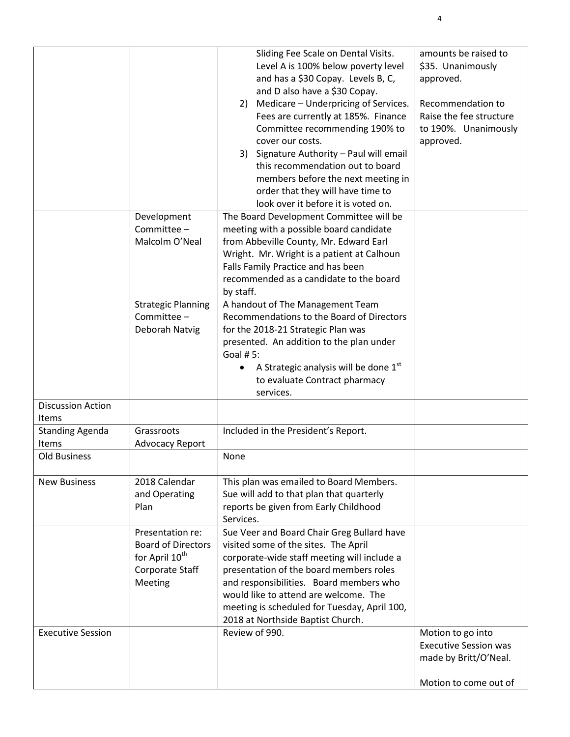|                          |                            | Sliding Fee Scale on Dental Visits.          | amounts be raised to         |
|--------------------------|----------------------------|----------------------------------------------|------------------------------|
|                          |                            |                                              |                              |
|                          |                            | Level A is 100% below poverty level          | \$35. Unanimously            |
|                          |                            | and has a \$30 Copay. Levels B, C,           | approved.                    |
|                          |                            | and D also have a \$30 Copay.                |                              |
|                          |                            | 2) Medicare - Underpricing of Services.      | Recommendation to            |
|                          |                            | Fees are currently at 185%. Finance          | Raise the fee structure      |
|                          |                            | Committee recommending 190% to               | to 190%. Unanimously         |
|                          |                            | cover our costs.                             | approved.                    |
|                          |                            | 3) Signature Authority - Paul will email     |                              |
|                          |                            | this recommendation out to board             |                              |
|                          |                            | members before the next meeting in           |                              |
|                          |                            | order that they will have time to            |                              |
|                          |                            | look over it before it is voted on.          |                              |
|                          | Development                | The Board Development Committee will be      |                              |
|                          | Committee -                | meeting with a possible board candidate      |                              |
|                          |                            |                                              |                              |
|                          | Malcolm O'Neal             | from Abbeville County, Mr. Edward Earl       |                              |
|                          |                            | Wright. Mr. Wright is a patient at Calhoun   |                              |
|                          |                            | Falls Family Practice and has been           |                              |
|                          |                            | recommended as a candidate to the board      |                              |
|                          |                            | by staff.                                    |                              |
|                          | <b>Strategic Planning</b>  | A handout of The Management Team             |                              |
|                          | Committee -                | Recommendations to the Board of Directors    |                              |
|                          | Deborah Natvig             | for the 2018-21 Strategic Plan was           |                              |
|                          |                            | presented. An addition to the plan under     |                              |
|                          |                            | Goal # 5:                                    |                              |
|                          |                            | A Strategic analysis will be done 1st        |                              |
|                          |                            | to evaluate Contract pharmacy                |                              |
|                          |                            | services.                                    |                              |
| <b>Discussion Action</b> |                            |                                              |                              |
| <b>Items</b>             |                            |                                              |                              |
|                          | Grassroots                 | Included in the President's Report.          |                              |
| <b>Standing Agenda</b>   |                            |                                              |                              |
| Items                    | <b>Advocacy Report</b>     |                                              |                              |
| <b>Old Business</b>      |                            | None                                         |                              |
|                          |                            |                                              |                              |
| <b>New Business</b>      | 2018 Calendar              | This plan was emailed to Board Members.      |                              |
|                          | and Operating              | Sue will add to that plan that quarterly     |                              |
|                          | Plan                       | reports be given from Early Childhood        |                              |
|                          |                            | Services.                                    |                              |
|                          | Presentation re:           | Sue Veer and Board Chair Greg Bullard have   |                              |
|                          | <b>Board of Directors</b>  | visited some of the sites. The April         |                              |
|                          | for April 10 <sup>th</sup> | corporate-wide staff meeting will include a  |                              |
|                          | Corporate Staff            | presentation of the board members roles      |                              |
|                          | Meeting                    | and responsibilities. Board members who      |                              |
|                          |                            | would like to attend are welcome. The        |                              |
|                          |                            | meeting is scheduled for Tuesday, April 100, |                              |
|                          |                            | 2018 at Northside Baptist Church.            |                              |
| <b>Executive Session</b> |                            | Review of 990.                               | Motion to go into            |
|                          |                            |                                              | <b>Executive Session was</b> |
|                          |                            |                                              | made by Britt/O'Neal.        |
|                          |                            |                                              |                              |
|                          |                            |                                              |                              |
|                          |                            |                                              | Motion to come out of        |

4